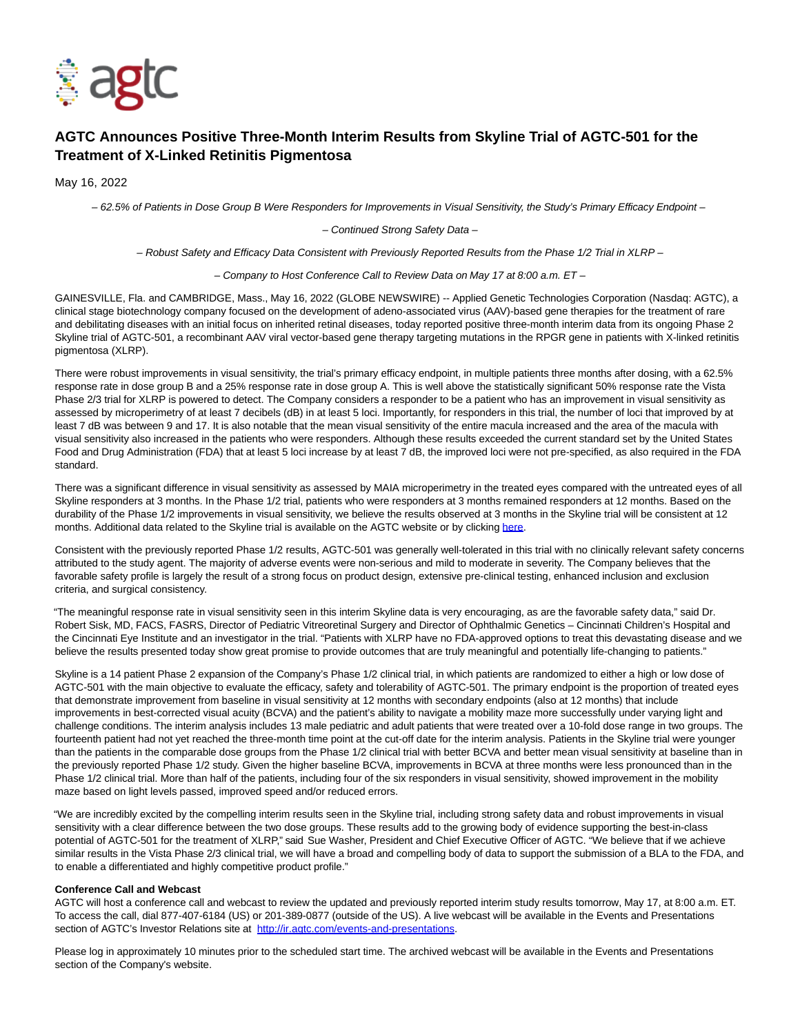

# **AGTC Announces Positive Three-Month Interim Results from Skyline Trial of AGTC-501 for the Treatment of X-Linked Retinitis Pigmentosa**

May 16, 2022

– 62.5% of Patients in Dose Group B Were Responders for Improvements in Visual Sensitivity, the Study's Primary Efficacy Endpoint –

– Continued Strong Safety Data –

– Robust Safety and Efficacy Data Consistent with Previously Reported Results from the Phase 1/2 Trial in XLRP –

– Company to Host Conference Call to Review Data on May 17 at 8:00 a.m. ET –

GAINESVILLE, Fla. and CAMBRIDGE, Mass., May 16, 2022 (GLOBE NEWSWIRE) -- Applied Genetic Technologies Corporation (Nasdaq: AGTC). a clinical stage biotechnology company focused on the development of adeno-associated virus (AAV)-based gene therapies for the treatment of rare and debilitating diseases with an initial focus on inherited retinal diseases, today reported positive three-month interim data from its ongoing Phase 2 Skyline trial of AGTC-501, a recombinant AAV viral vector-based gene therapy targeting mutations in the RPGR gene in patients with X-linked retinitis pigmentosa (XLRP).

There were robust improvements in visual sensitivity, the trial's primary efficacy endpoint, in multiple patients three months after dosing, with a 62.5% response rate in dose group B and a 25% response rate in dose group A. This is well above the statistically significant 50% response rate the Vista Phase 2/3 trial for XLRP is powered to detect. The Company considers a responder to be a patient who has an improvement in visual sensitivity as assessed by microperimetry of at least 7 decibels (dB) in at least 5 loci. Importantly, for responders in this trial, the number of loci that improved by at least 7 dB was between 9 and 17. It is also notable that the mean visual sensitivity of the entire macula increased and the area of the macula with visual sensitivity also increased in the patients who were responders. Although these results exceeded the current standard set by the United States Food and Drug Administration (FDA) that at least 5 loci increase by at least 7 dB, the improved loci were not pre-specified, as also required in the FDA standard.

There was a significant difference in visual sensitivity as assessed by MAIA microperimetry in the treated eyes compared with the untreated eyes of all Skyline responders at 3 months. In the Phase 1/2 trial, patients who were responders at 3 months remained responders at 12 months. Based on the durability of the Phase 1/2 improvements in visual sensitivity, we believe the results observed at 3 months in the Skyline trial will be consistent at 12 months. Additional data related to the Skyline trial is available on the AGTC website or by clicking [here.](https://www.globenewswire.com/Tracker?data=mXQnaoTqK5DBkbSoxkrrtIcNRGrAvOZdMNv-xNgCjF5W8G9z_zFivzB1fAvYDWOdULFA1ru2kkGn_PqrSVTZwl5bSTMsdfJXXHoIvIi5CEw=)

Consistent with the previously reported Phase 1/2 results, AGTC-501 was generally well-tolerated in this trial with no clinically relevant safety concerns attributed to the study agent. The majority of adverse events were non-serious and mild to moderate in severity. The Company believes that the favorable safety profile is largely the result of a strong focus on product design, extensive pre-clinical testing, enhanced inclusion and exclusion criteria, and surgical consistency.

"The meaningful response rate in visual sensitivity seen in this interim Skyline data is very encouraging, as are the favorable safety data," said Dr. Robert Sisk, MD, FACS, FASRS, Director of Pediatric Vitreoretinal Surgery and Director of Ophthalmic Genetics – Cincinnati Children's Hospital and the Cincinnati Eye Institute and an investigator in the trial. "Patients with XLRP have no FDA-approved options to treat this devastating disease and we believe the results presented today show great promise to provide outcomes that are truly meaningful and potentially life-changing to patients."

Skyline is a 14 patient Phase 2 expansion of the Company's Phase 1/2 clinical trial, in which patients are randomized to either a high or low dose of AGTC-501 with the main objective to evaluate the efficacy, safety and tolerability of AGTC-501. The primary endpoint is the proportion of treated eyes that demonstrate improvement from baseline in visual sensitivity at 12 months with secondary endpoints (also at 12 months) that include improvements in best-corrected visual acuity (BCVA) and the patient's ability to navigate a mobility maze more successfully under varying light and challenge conditions. The interim analysis includes 13 male pediatric and adult patients that were treated over a 10-fold dose range in two groups. The fourteenth patient had not yet reached the three-month time point at the cut-off date for the interim analysis. Patients in the Skyline trial were younger than the patients in the comparable dose groups from the Phase 1/2 clinical trial with better BCVA and better mean visual sensitivity at baseline than in the previously reported Phase 1/2 study. Given the higher baseline BCVA, improvements in BCVA at three months were less pronounced than in the Phase 1/2 clinical trial. More than half of the patients, including four of the six responders in visual sensitivity, showed improvement in the mobility maze based on light levels passed, improved speed and/or reduced errors.

"We are incredibly excited by the compelling interim results seen in the Skyline trial, including strong safety data and robust improvements in visual sensitivity with a clear difference between the two dose groups. These results add to the growing body of evidence supporting the best-in-class potential of AGTC-501 for the treatment of XLRP," said Sue Washer, President and Chief Executive Officer of AGTC. "We believe that if we achieve similar results in the Vista Phase 2/3 clinical trial, we will have a broad and compelling body of data to support the submission of a BLA to the FDA, and to enable a differentiated and highly competitive product profile."

## **Conference Call and Webcast**

AGTC will host a conference call and webcast to review the updated and previously reported interim study results tomorrow, May 17, at 8:00 a.m. ET. To access the call, dial 877-407-6184 (US) or 201-389-0877 (outside of the US). A live webcast will be available in the Events and Presentations section of AGTC's Investor Relations site at [http://ir.agtc.com/events-and-presentations.](https://www.globenewswire.com/Tracker?data=tW719UUuD8pO5RS1Us78m67c9kU4FOzOZfPB3umUPXPS3hLIA63FWChEPK6doDY44sXDk-CWCA-dBM-OU32Hr-KJld7diN2k1SOUQrRErjXyd0UKyVcY_SP_0e9-tOw7LL38p4v5YYMRzKhU8tOtww==)

Please log in approximately 10 minutes prior to the scheduled start time. The archived webcast will be available in the Events and Presentations section of the Company's website.